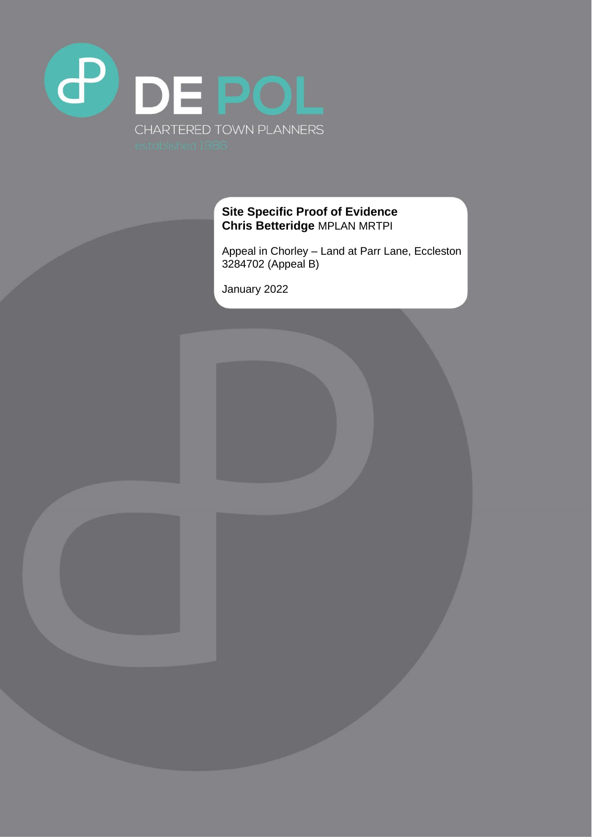

# **Site Specific Proof of Evidence Chris Betteridge** MPLAN MRTPI

Appeal in Chorley – Land at Parr Lane, Eccleston 3284702 (Appeal B)

January 2022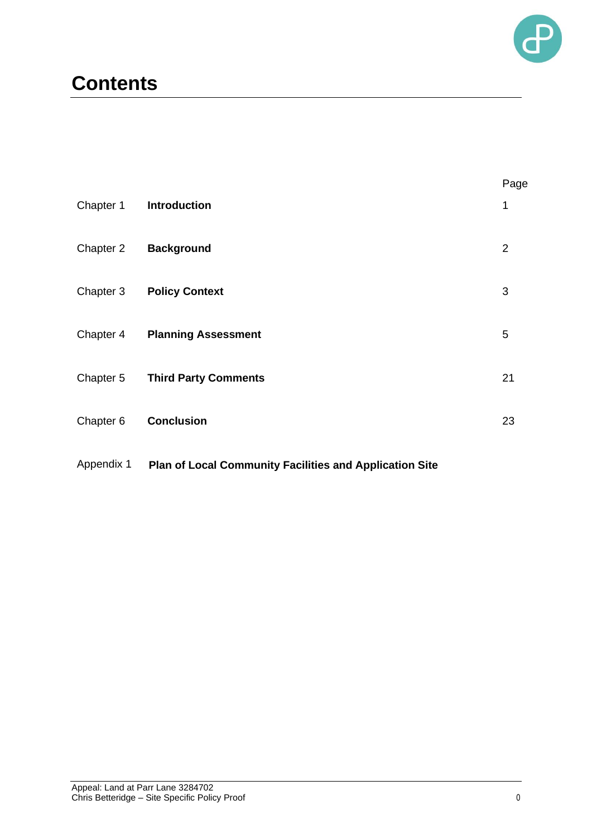

# **Contents**

|           |                             | Page           |
|-----------|-----------------------------|----------------|
| Chapter 1 | <b>Introduction</b>         | 1              |
| Chapter 2 | <b>Background</b>           | $\overline{2}$ |
| Chapter 3 | <b>Policy Context</b>       | 3              |
| Chapter 4 | <b>Planning Assessment</b>  | 5              |
| Chapter 5 | <b>Third Party Comments</b> | 21             |
| Chapter 6 | <b>Conclusion</b>           | 23             |
|           |                             |                |

#### Appendix 1 **Plan of Local Community Facilities and Application Site**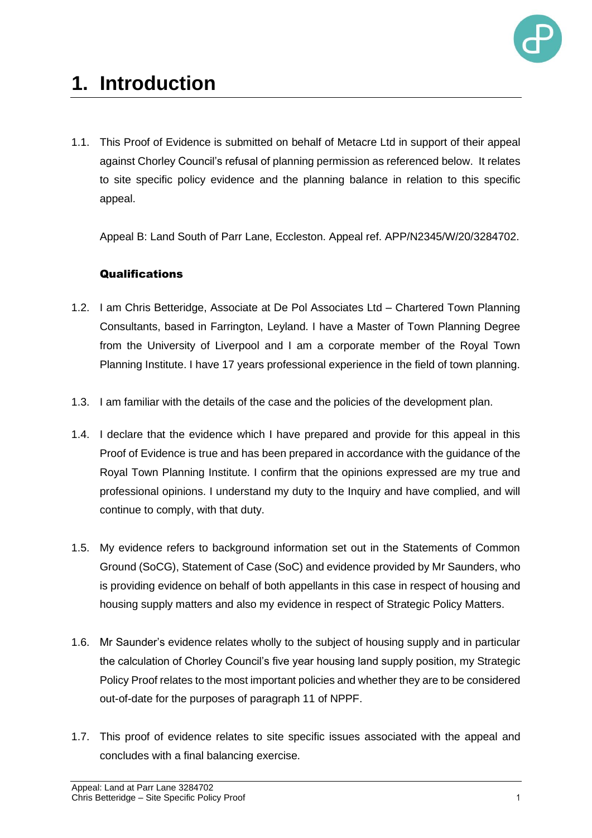

# **1. Introduction**

1.1. This Proof of Evidence is submitted on behalf of Metacre Ltd in support of their appeal against Chorley Council's refusal of planning permission as referenced below. It relates to site specific policy evidence and the planning balance in relation to this specific appeal.

Appeal B: Land South of Parr Lane, Eccleston. Appeal ref. APP/N2345/W/20/3284702.

# **Qualifications**

- 1.2. I am Chris Betteridge, Associate at De Pol Associates Ltd Chartered Town Planning Consultants, based in Farrington, Leyland. I have a Master of Town Planning Degree from the University of Liverpool and I am a corporate member of the Royal Town Planning Institute. I have 17 years professional experience in the field of town planning.
- 1.3. I am familiar with the details of the case and the policies of the development plan.
- 1.4. I declare that the evidence which I have prepared and provide for this appeal in this Proof of Evidence is true and has been prepared in accordance with the guidance of the Royal Town Planning Institute. I confirm that the opinions expressed are my true and professional opinions. I understand my duty to the Inquiry and have complied, and will continue to comply, with that duty.
- 1.5. My evidence refers to background information set out in the Statements of Common Ground (SoCG), Statement of Case (SoC) and evidence provided by Mr Saunders, who is providing evidence on behalf of both appellants in this case in respect of housing and housing supply matters and also my evidence in respect of Strategic Policy Matters.
- 1.6. Mr Saunder's evidence relates wholly to the subject of housing supply and in particular the calculation of Chorley Council's five year housing land supply position, my Strategic Policy Proof relates to the most important policies and whether they are to be considered out-of-date for the purposes of paragraph 11 of NPPF.
- 1.7. This proof of evidence relates to site specific issues associated with the appeal and concludes with a final balancing exercise.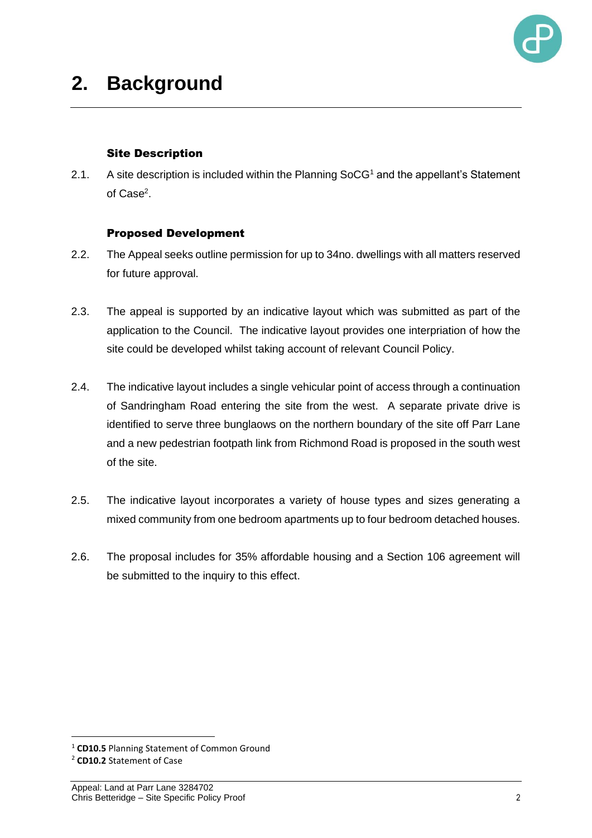

#### Site Description

2.1. A site description is included within the Planning  $SocG<sup>1</sup>$  and the appellant's Statement of Case<sup>2</sup>.

### Proposed Development

- 2.2. The Appeal seeks outline permission for up to 34no. dwellings with all matters reserved for future approval.
- 2.3. The appeal is supported by an indicative layout which was submitted as part of the application to the Council. The indicative layout provides one interpriation of how the site could be developed whilst taking account of relevant Council Policy.
- 2.4. The indicative layout includes a single vehicular point of access through a continuation of Sandringham Road entering the site from the west. A separate private drive is identified to serve three bunglaows on the northern boundary of the site off Parr Lane and a new pedestrian footpath link from Richmond Road is proposed in the south west of the site.
- 2.5. The indicative layout incorporates a variety of house types and sizes generating a mixed community from one bedroom apartments up to four bedroom detached houses.
- 2.6. The proposal includes for 35% affordable housing and a Section 106 agreement will be submitted to the inquiry to this effect.

<sup>1</sup> **CD10.5** Planning Statement of Common Ground

<sup>2</sup> **CD10.2** Statement of Case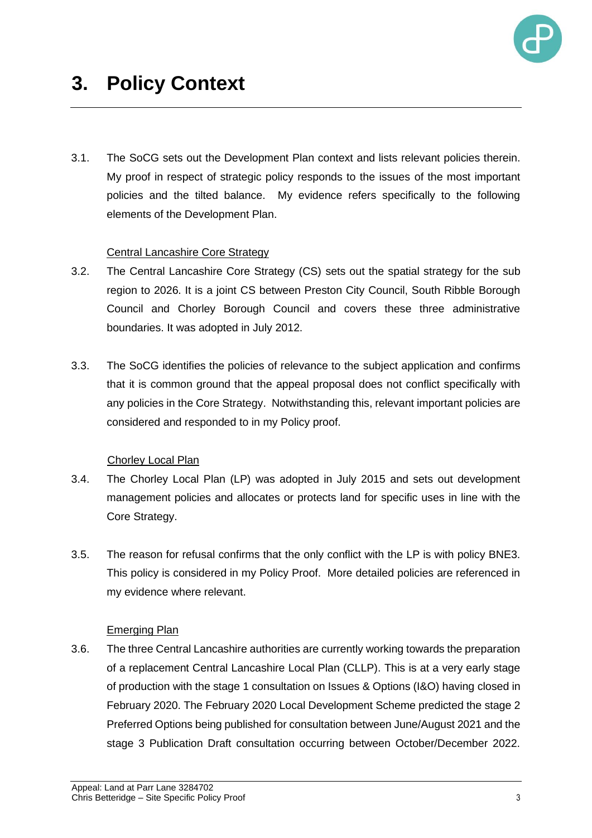

3.1. The SoCG sets out the Development Plan context and lists relevant policies therein. My proof in respect of strategic policy responds to the issues of the most important policies and the tilted balance. My evidence refers specifically to the following elements of the Development Plan.

# Central Lancashire Core Strategy

- 3.2. The Central Lancashire Core Strategy (CS) sets out the spatial strategy for the sub region to 2026. It is a joint CS between Preston City Council, South Ribble Borough Council and Chorley Borough Council and covers these three administrative boundaries. It was adopted in July 2012.
- 3.3. The SoCG identifies the policies of relevance to the subject application and confirms that it is common ground that the appeal proposal does not conflict specifically with any policies in the Core Strategy. Notwithstanding this, relevant important policies are considered and responded to in my Policy proof.

# Chorley Local Plan

- 3.4. The Chorley Local Plan (LP) was adopted in July 2015 and sets out development management policies and allocates or protects land for specific uses in line with the Core Strategy.
- 3.5. The reason for refusal confirms that the only conflict with the LP is with policy BNE3. This policy is considered in my Policy Proof. More detailed policies are referenced in my evidence where relevant.

# Emerging Plan

3.6. The three Central Lancashire authorities are currently working towards the preparation of a replacement Central Lancashire Local Plan (CLLP). This is at a very early stage of production with the stage 1 consultation on Issues & Options (I&O) having closed in February 2020. The February 2020 Local Development Scheme predicted the stage 2 Preferred Options being published for consultation between June/August 2021 and the stage 3 Publication Draft consultation occurring between October/December 2022.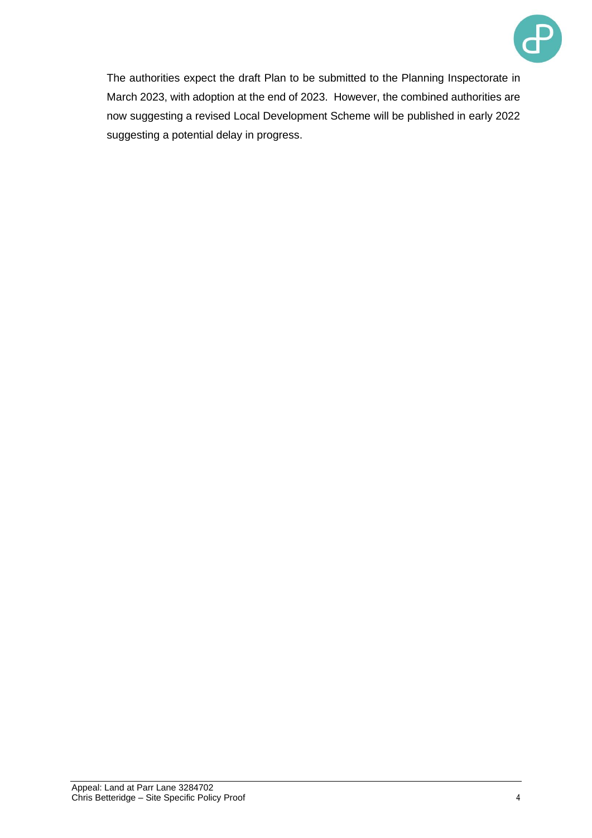

The authorities expect the draft Plan to be submitted to the Planning Inspectorate in March 2023, with adoption at the end of 2023. However, the combined authorities are now suggesting a revised Local Development Scheme will be published in early 2022 suggesting a potential delay in progress.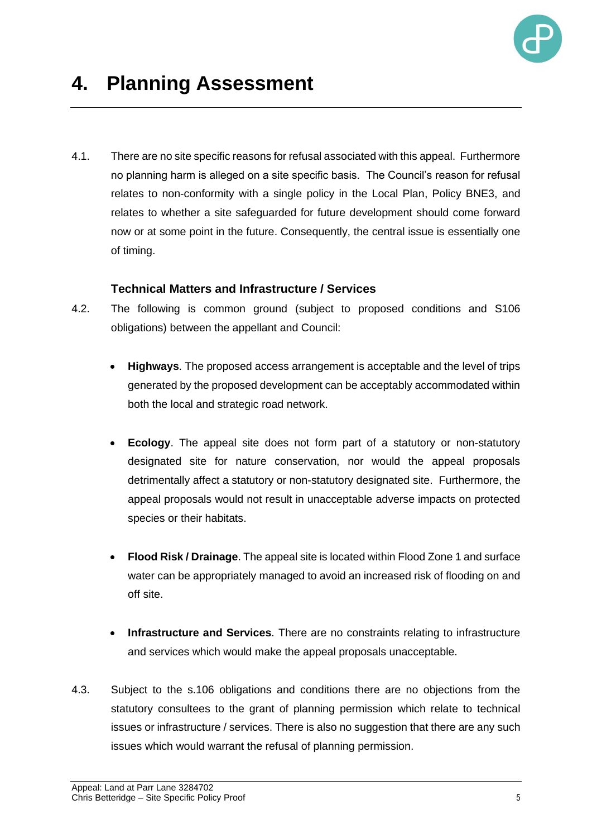

4.1. There are no site specific reasons for refusal associated with this appeal. Furthermore no planning harm is alleged on a site specific basis. The Council's reason for refusal relates to non-conformity with a single policy in the Local Plan, Policy BNE3, and relates to whether a site safeguarded for future development should come forward now or at some point in the future. Consequently, the central issue is essentially one of timing.

### **Technical Matters and Infrastructure / Services**

- 4.2. The following is common ground (subject to proposed conditions and S106 obligations) between the appellant and Council:
	- **Highways**. The proposed access arrangement is acceptable and the level of trips generated by the proposed development can be acceptably accommodated within both the local and strategic road network.
	- **Ecology**. The appeal site does not form part of a statutory or non-statutory designated site for nature conservation, nor would the appeal proposals detrimentally affect a statutory or non-statutory designated site. Furthermore, the appeal proposals would not result in unacceptable adverse impacts on protected species or their habitats.
	- **Flood Risk / Drainage**. The appeal site is located within Flood Zone 1 and surface water can be appropriately managed to avoid an increased risk of flooding on and off site.
	- **Infrastructure and Services**. There are no constraints relating to infrastructure and services which would make the appeal proposals unacceptable.
- 4.3. Subject to the s.106 obligations and conditions there are no objections from the statutory consultees to the grant of planning permission which relate to technical issues or infrastructure / services. There is also no suggestion that there are any such issues which would warrant the refusal of planning permission.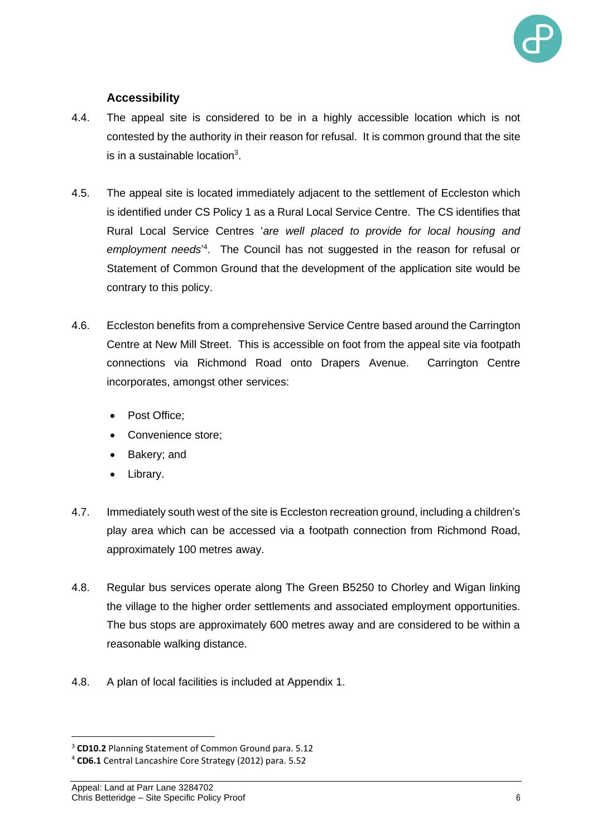

# **Accessibility**

- 4.4. The appeal site is considered to be in a highly accessible location which is not contested by the authority in their reason for refusal. It is common ground that the site is in a sustainable location $3$ .
- 4.5. The appeal site is located immediately adjacent to the settlement of Eccleston which is identified under CS Policy 1 as a Rural Local Service Centre. The CS identifies that Rural Local Service Centres '*are well placed to provide for local housing and*  employment needs<sup>14</sup>. The Council has not suggested in the reason for refusal or Statement of Common Ground that the development of the application site would be contrary to this policy.
- 4.6. Eccleston benefits from a comprehensive Service Centre based around the Carrington Centre at New Mill Street. This is accessible on foot from the appeal site via footpath connections via Richmond Road onto Drapers Avenue. Carrington Centre incorporates, amongst other services:
	- Post Office:
	- Convenience store;
	- Bakery; and
	- Library.
- 4.7. Immediately south west of the site is Eccleston recreation ground, including a children's play area which can be accessed via a footpath connection from Richmond Road, approximately 100 metres away.
- 4.8. Regular bus services operate along The Green B5250 to Chorley and Wigan linking the village to the higher order settlements and associated employment opportunities. The bus stops are approximately 600 metres away and are considered to be within a reasonable walking distance.
- 4.8. A plan of local facilities is included at Appendix 1.

<sup>3</sup> **CD10.2** Planning Statement of Common Ground para. 5.12

<sup>4</sup> **CD6.1** Central Lancashire Core Strategy (2012) para. 5.52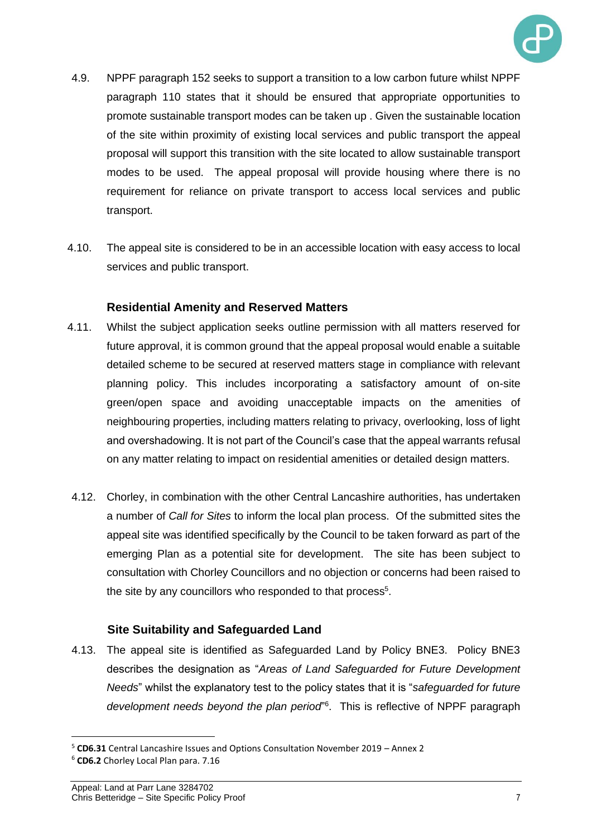

- 4.9. NPPF paragraph 152 seeks to support a transition to a low carbon future whilst NPPF paragraph 110 states that it should be ensured that appropriate opportunities to promote sustainable transport modes can be taken up . Given the sustainable location of the site within proximity of existing local services and public transport the appeal proposal will support this transition with the site located to allow sustainable transport modes to be used. The appeal proposal will provide housing where there is no requirement for reliance on private transport to access local services and public transport.
- 4.10. The appeal site is considered to be in an accessible location with easy access to local services and public transport.

### **Residential Amenity and Reserved Matters**

- 4.11. Whilst the subject application seeks outline permission with all matters reserved for future approval, it is common ground that the appeal proposal would enable a suitable detailed scheme to be secured at reserved matters stage in compliance with relevant planning policy. This includes incorporating a satisfactory amount of on-site green/open space and avoiding unacceptable impacts on the amenities of neighbouring properties, including matters relating to privacy, overlooking, loss of light and overshadowing. It is not part of the Council's case that the appeal warrants refusal on any matter relating to impact on residential amenities or detailed design matters.
- 4.12. Chorley, in combination with the other Central Lancashire authorities, has undertaken a number of *Call for Sites* to inform the local plan process. Of the submitted sites the appeal site was identified specifically by the Council to be taken forward as part of the emerging Plan as a potential site for development. The site has been subject to consultation with Chorley Councillors and no objection or concerns had been raised to the site by any councillors who responded to that process $5$ .

# **Site Suitability and Safeguarded Land**

4.13. The appeal site is identified as Safeguarded Land by Policy BNE3. Policy BNE3 describes the designation as "*Areas of Land Safeguarded for Future Development Needs*" whilst the explanatory test to the policy states that it is "*safeguarded for future development needs beyond the plan period*" 6 . This is reflective of NPPF paragraph

<sup>5</sup> **CD6.31** Central Lancashire Issues and Options Consultation November 2019 – Annex 2

<sup>6</sup> **CD6.2** Chorley Local Plan para. 7.16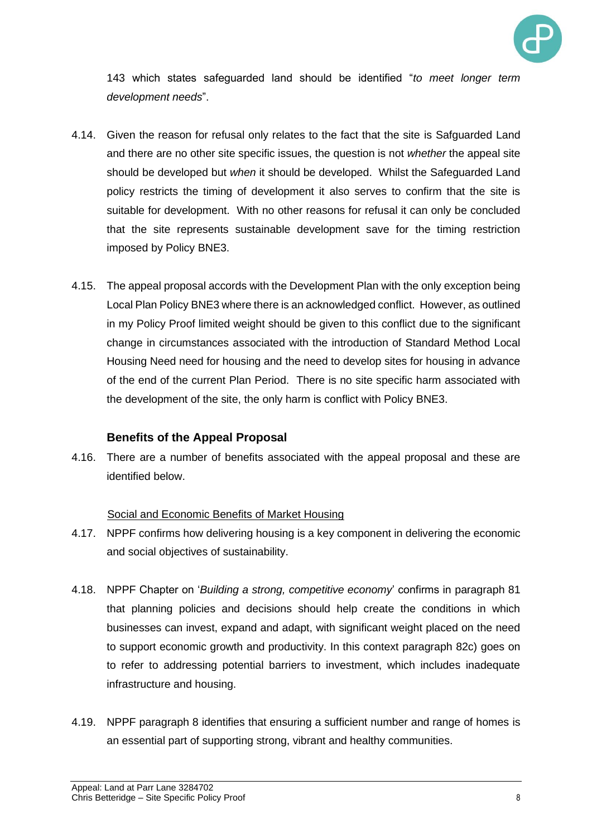

143 which states safeguarded land should be identified "*to meet longer term development needs*".

- 4.14. Given the reason for refusal only relates to the fact that the site is Safguarded Land and there are no other site specific issues, the question is not *whether* the appeal site should be developed but *when* it should be developed. Whilst the Safeguarded Land policy restricts the timing of development it also serves to confirm that the site is suitable for development. With no other reasons for refusal it can only be concluded that the site represents sustainable development save for the timing restriction imposed by Policy BNE3.
- 4.15. The appeal proposal accords with the Development Plan with the only exception being Local Plan Policy BNE3 where there is an acknowledged conflict. However, as outlined in my Policy Proof limited weight should be given to this conflict due to the significant change in circumstances associated with the introduction of Standard Method Local Housing Need need for housing and the need to develop sites for housing in advance of the end of the current Plan Period. There is no site specific harm associated with the development of the site, the only harm is conflict with Policy BNE3.

#### **Benefits of the Appeal Proposal**

4.16. There are a number of benefits associated with the appeal proposal and these are identified below.

#### Social and Economic Benefits of Market Housing

- 4.17. NPPF confirms how delivering housing is a key component in delivering the economic and social objectives of sustainability.
- 4.18. NPPF Chapter on '*Building a strong, competitive economy*' confirms in paragraph 81 that planning policies and decisions should help create the conditions in which businesses can invest, expand and adapt, with significant weight placed on the need to support economic growth and productivity. In this context paragraph 82c) goes on to refer to addressing potential barriers to investment, which includes inadequate infrastructure and housing.
- 4.19. NPPF paragraph 8 identifies that ensuring a sufficient number and range of homes is an essential part of supporting strong, vibrant and healthy communities.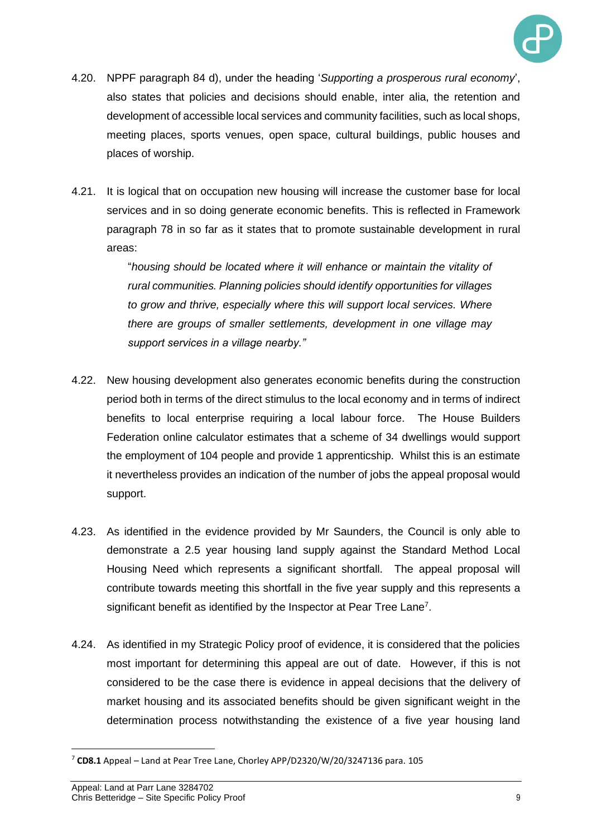

- 4.20. NPPF paragraph 84 d), under the heading '*Supporting a prosperous rural economy*', also states that policies and decisions should enable, inter alia, the retention and development of accessible local services and community facilities, such as local shops, meeting places, sports venues, open space, cultural buildings, public houses and places of worship.
- 4.21. It is logical that on occupation new housing will increase the customer base for local services and in so doing generate economic benefits. This is reflected in Framework paragraph 78 in so far as it states that to promote sustainable development in rural areas:

"*housing should be located where it will enhance or maintain the vitality of rural communities. Planning policies should identify opportunities for villages to grow and thrive, especially where this will support local services. Where there are groups of smaller settlements, development in one village may support services in a village nearby."* 

- 4.22. New housing development also generates economic benefits during the construction period both in terms of the direct stimulus to the local economy and in terms of indirect benefits to local enterprise requiring a local labour force. The House Builders Federation online calculator estimates that a scheme of 34 dwellings would support the employment of 104 people and provide 1 apprenticship. Whilst this is an estimate it nevertheless provides an indication of the number of jobs the appeal proposal would support.
- 4.23. As identified in the evidence provided by Mr Saunders, the Council is only able to demonstrate a 2.5 year housing land supply against the Standard Method Local Housing Need which represents a significant shortfall. The appeal proposal will contribute towards meeting this shortfall in the five year supply and this represents a significant benefit as identified by the Inspector at Pear Tree Lane<sup>7</sup>.
- 4.24. As identified in my Strategic Policy proof of evidence, it is considered that the policies most important for determining this appeal are out of date. However, if this is not considered to be the case there is evidence in appeal decisions that the delivery of market housing and its associated benefits should be given significant weight in the determination process notwithstanding the existence of a five year housing land

<sup>7</sup> **CD8.1** Appeal – Land at Pear Tree Lane, Chorley APP/D2320/W/20/3247136 para. 105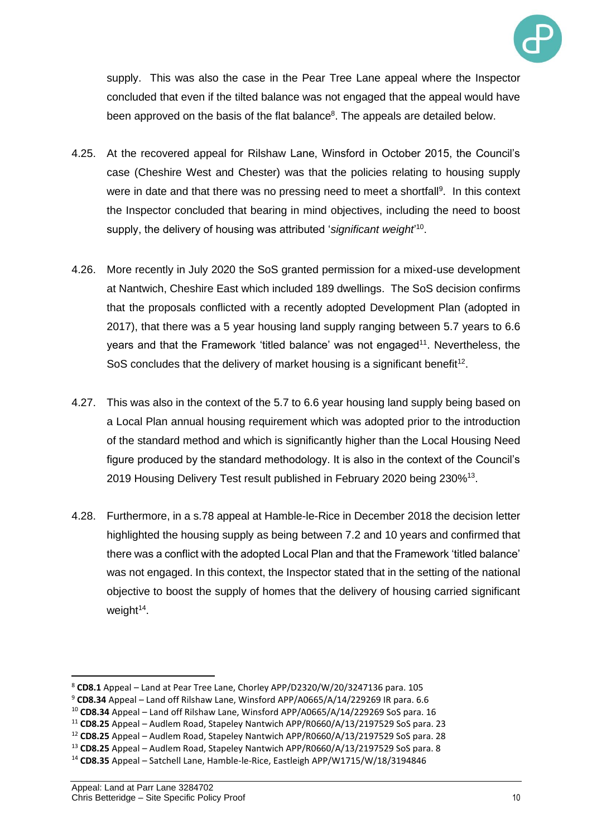

supply. This was also the case in the Pear Tree Lane appeal where the Inspector concluded that even if the tilted balance was not engaged that the appeal would have been approved on the basis of the flat balance<sup>8</sup>. The appeals are detailed below.

- 4.25. At the recovered appeal for Rilshaw Lane, Winsford in October 2015, the Council's case (Cheshire West and Chester) was that the policies relating to housing supply were in date and that there was no pressing need to meet a shortfall<sup>9</sup>. In this context the Inspector concluded that bearing in mind objectives, including the need to boost supply, the delivery of housing was attributed '*significant weight*' 10 .
- 4.26. More recently in July 2020 the SoS granted permission for a mixed-use development at Nantwich, Cheshire East which included 189 dwellings. The SoS decision confirms that the proposals conflicted with a recently adopted Development Plan (adopted in 2017), that there was a 5 year housing land supply ranging between 5.7 years to 6.6 years and that the Framework 'titled balance' was not engaged<sup>11</sup>. Nevertheless, the SoS concludes that the delivery of market housing is a significant benefit<sup>12</sup>.
- 4.27. This was also in the context of the 5.7 to 6.6 year housing land supply being based on a Local Plan annual housing requirement which was adopted prior to the introduction of the standard method and which is significantly higher than the Local Housing Need figure produced by the standard methodology. It is also in the context of the Council's 2019 Housing Delivery Test result published in February 2020 being 230%<sup>13</sup>.
- 4.28. Furthermore, in a s.78 appeal at Hamble-le-Rice in December 2018 the decision letter highlighted the housing supply as being between 7.2 and 10 years and confirmed that there was a conflict with the adopted Local Plan and that the Framework 'titled balance' was not engaged. In this context, the Inspector stated that in the setting of the national objective to boost the supply of homes that the delivery of housing carried significant weight<sup>14</sup>.

<sup>8</sup> **CD8.1** Appeal – Land at Pear Tree Lane, Chorley APP/D2320/W/20/3247136 para. 105

<sup>9</sup> **CD8.34** Appeal – Land off Rilshaw Lane, Winsford APP/A0665/A/14/229269 IR para. 6.6

<sup>10</sup> **CD8.34** Appeal – Land off Rilshaw Lane, Winsford APP/A0665/A/14/229269 SoS para. 16

<sup>11</sup> **CD8.25** Appeal – Audlem Road, Stapeley Nantwich APP/R0660/A/13/2197529 SoS para. 23

<sup>12</sup> **CD8.25** Appeal – Audlem Road, Stapeley Nantwich APP/R0660/A/13/2197529 SoS para. 28

<sup>13</sup> **CD8.25** Appeal – Audlem Road, Stapeley Nantwich APP/R0660/A/13/2197529 SoS para. 8

<sup>14</sup> **CD8.35** Appeal – Satchell Lane, Hamble-le-Rice, Eastleigh APP/W1715/W/18/3194846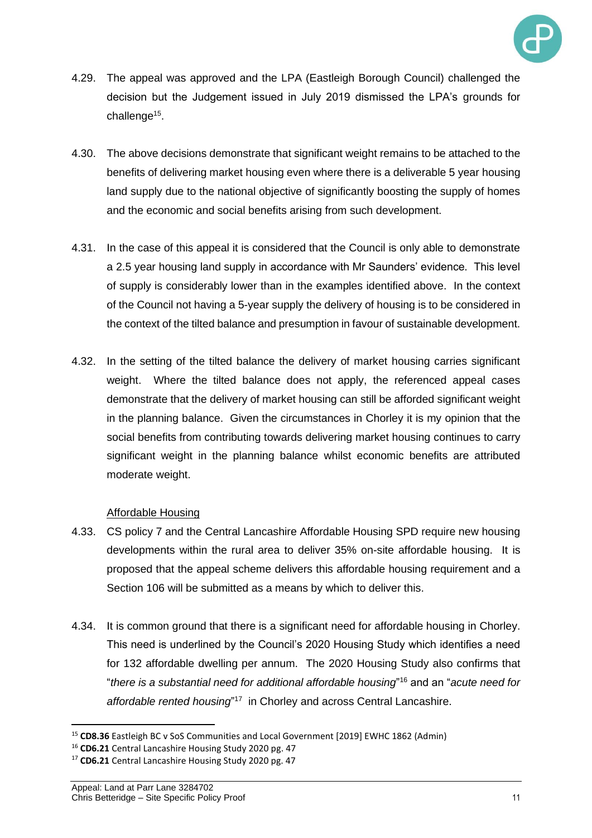

- 4.29. The appeal was approved and the LPA (Eastleigh Borough Council) challenged the decision but the Judgement issued in July 2019 dismissed the LPA's grounds for challenge<sup>15</sup>.
- 4.30. The above decisions demonstrate that significant weight remains to be attached to the benefits of delivering market housing even where there is a deliverable 5 year housing land supply due to the national objective of significantly boosting the supply of homes and the economic and social benefits arising from such development.
- 4.31. In the case of this appeal it is considered that the Council is only able to demonstrate a 2.5 year housing land supply in accordance with Mr Saunders' evidence. This level of supply is considerably lower than in the examples identified above. In the context of the Council not having a 5-year supply the delivery of housing is to be considered in the context of the tilted balance and presumption in favour of sustainable development.
- 4.32. In the setting of the tilted balance the delivery of market housing carries significant weight. Where the tilted balance does not apply, the referenced appeal cases demonstrate that the delivery of market housing can still be afforded significant weight in the planning balance. Given the circumstances in Chorley it is my opinion that the social benefits from contributing towards delivering market housing continues to carry significant weight in the planning balance whilst economic benefits are attributed moderate weight.

# Affordable Housing

- 4.33. CS policy 7 and the Central Lancashire Affordable Housing SPD require new housing developments within the rural area to deliver 35% on-site affordable housing. It is proposed that the appeal scheme delivers this affordable housing requirement and a Section 106 will be submitted as a means by which to deliver this.
- 4.34. It is common ground that there is a significant need for affordable housing in Chorley. This need is underlined by the Council's 2020 Housing Study which identifies a need for 132 affordable dwelling per annum. The 2020 Housing Study also confirms that "*there is a substantial need for additional affordable housing*" <sup>16</sup> and an "*acute need for affordable rented housing*" <sup>17</sup> in Chorley and across Central Lancashire.

<sup>15</sup> **CD8.36** Eastleigh BC v SoS Communities and Local Government [2019] EWHC 1862 (Admin)

<sup>16</sup> **CD6.21** Central Lancashire Housing Study 2020 pg. 47

<sup>17</sup> **CD6.21** Central Lancashire Housing Study 2020 pg. 47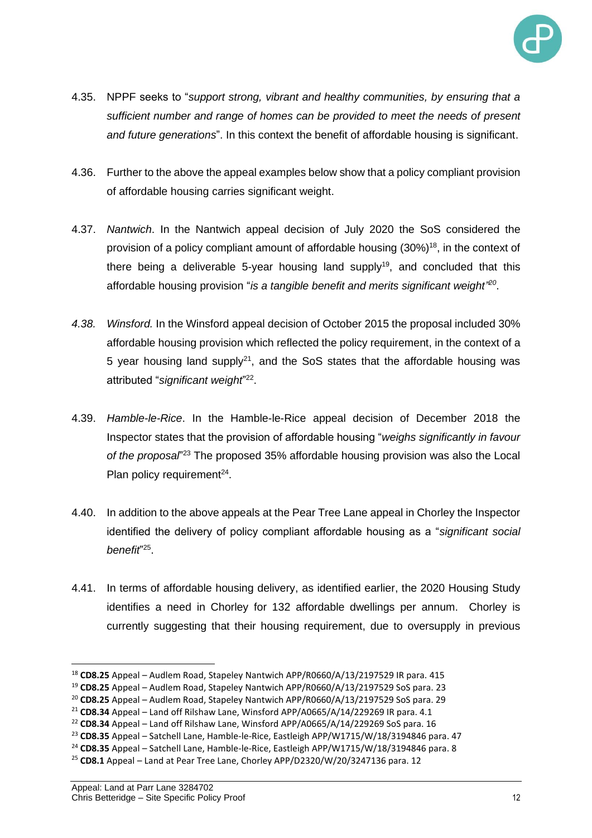

- 4.35. NPPF seeks to "*support strong, vibrant and healthy communities, by ensuring that a sufficient number and range of homes can be provided to meet the needs of present and future generations*". In this context the benefit of affordable housing is significant.
- 4.36. Further to the above the appeal examples below show that a policy compliant provision of affordable housing carries significant weight.
- 4.37. *Nantwich*. In the Nantwich appeal decision of July 2020 the SoS considered the provision of a policy compliant amount of affordable housing (30%)<sup>18</sup>, in the context of there being a deliverable 5-year housing land supply<sup>19</sup>, and concluded that this affordable housing provision "*is a tangible benefit and merits significant weight" 20* .
- *4.38. Winsford.* In the Winsford appeal decision of October 2015 the proposal included 30% affordable housing provision which reflected the policy requirement, in the context of a 5 year housing land supply<sup>21</sup>, and the SoS states that the affordable housing was attributed "*significant weight*" 22 .
- 4.39. *Hamble-le-Rice*. In the Hamble-le-Rice appeal decision of December 2018 the Inspector states that the provision of affordable housing "*weighs significantly in favour*  of the proposal<sup>"23</sup> The proposed 35% affordable housing provision was also the Local Plan policy requirement $^{24}$ .
- 4.40. In addition to the above appeals at the Pear Tree Lane appeal in Chorley the Inspector identified the delivery of policy compliant affordable housing as a "*significant social benefit*" 25 .
- 4.41. In terms of affordable housing delivery, as identified earlier, the 2020 Housing Study identifies a need in Chorley for 132 affordable dwellings per annum. Chorley is currently suggesting that their housing requirement, due to oversupply in previous

<sup>18</sup> **CD8.25** Appeal – Audlem Road, Stapeley Nantwich APP/R0660/A/13/2197529 IR para. 415

<sup>19</sup> **CD8.25** Appeal – Audlem Road, Stapeley Nantwich APP/R0660/A/13/2197529 SoS para. 23

<sup>20</sup> **CD8.25** Appeal – Audlem Road, Stapeley Nantwich APP/R0660/A/13/2197529 SoS para. 29

<sup>21</sup> **CD8.34** Appeal – Land off Rilshaw Lane, Winsford APP/A0665/A/14/229269 IR para. 4.1

<sup>22</sup> **CD8.34** Appeal – Land off Rilshaw Lane, Winsford APP/A0665/A/14/229269 SoS para. 16

<sup>23</sup> **CD8.35** Appeal – Satchell Lane, Hamble-le-Rice, Eastleigh APP/W1715/W/18/3194846 para. 47

<sup>24</sup> **CD8.35** Appeal – Satchell Lane, Hamble-le-Rice, Eastleigh APP/W1715/W/18/3194846 para. 8

<sup>25</sup> **CD8.1** Appeal – Land at Pear Tree Lane, Chorley APP/D2320/W/20/3247136 para. 12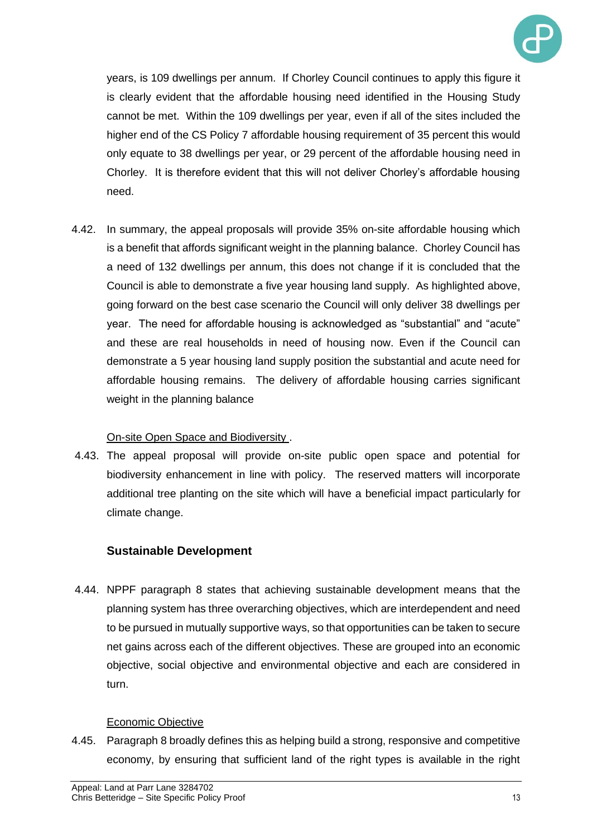

years, is 109 dwellings per annum. If Chorley Council continues to apply this figure it is clearly evident that the affordable housing need identified in the Housing Study cannot be met. Within the 109 dwellings per year, even if all of the sites included the higher end of the CS Policy 7 affordable housing requirement of 35 percent this would only equate to 38 dwellings per year, or 29 percent of the affordable housing need in Chorley. It is therefore evident that this will not deliver Chorley's affordable housing need.

4.42. In summary, the appeal proposals will provide 35% on-site affordable housing which is a benefit that affords significant weight in the planning balance. Chorley Council has a need of 132 dwellings per annum, this does not change if it is concluded that the Council is able to demonstrate a five year housing land supply. As highlighted above, going forward on the best case scenario the Council will only deliver 38 dwellings per year. The need for affordable housing is acknowledged as "substantial" and "acute" and these are real households in need of housing now. Even if the Council can demonstrate a 5 year housing land supply position the substantial and acute need for affordable housing remains. The delivery of affordable housing carries significant weight in the planning balance

# On-site Open Space and Biodiversity .

4.43. The appeal proposal will provide on-site public open space and potential for biodiversity enhancement in line with policy. The reserved matters will incorporate additional tree planting on the site which will have a beneficial impact particularly for climate change.

# **Sustainable Development**

4.44. NPPF paragraph 8 states that achieving sustainable development means that the planning system has three overarching objectives, which are interdependent and need to be pursued in mutually supportive ways, so that opportunities can be taken to secure net gains across each of the different objectives. These are grouped into an economic objective, social objective and environmental objective and each are considered in turn.

# Economic Objective

4.45. Paragraph 8 broadly defines this as helping build a strong, responsive and competitive economy, by ensuring that sufficient land of the right types is available in the right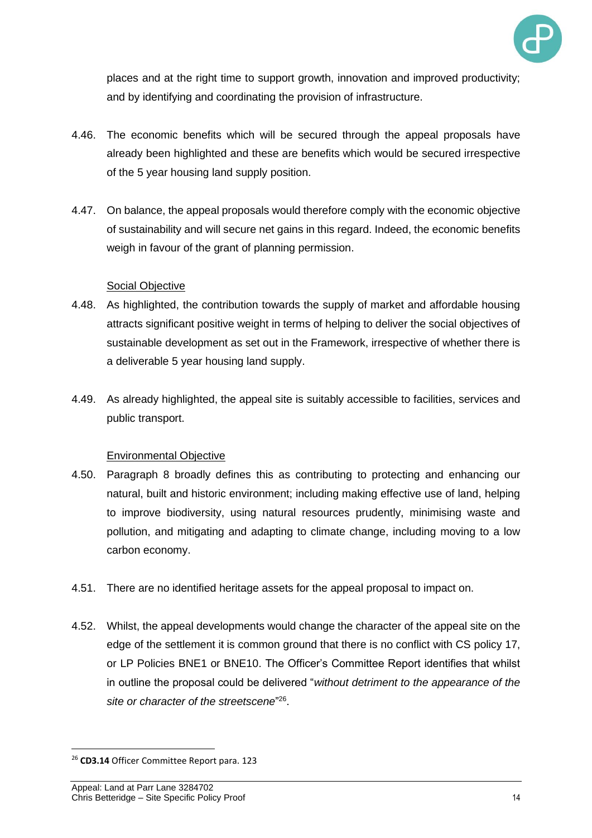

places and at the right time to support growth, innovation and improved productivity; and by identifying and coordinating the provision of infrastructure.

- 4.46. The economic benefits which will be secured through the appeal proposals have already been highlighted and these are benefits which would be secured irrespective of the 5 year housing land supply position.
- 4.47. On balance, the appeal proposals would therefore comply with the economic objective of sustainability and will secure net gains in this regard. Indeed, the economic benefits weigh in favour of the grant of planning permission.

#### **Social Objective**

- 4.48. As highlighted, the contribution towards the supply of market and affordable housing attracts significant positive weight in terms of helping to deliver the social objectives of sustainable development as set out in the Framework, irrespective of whether there is a deliverable 5 year housing land supply.
- 4.49. As already highlighted, the appeal site is suitably accessible to facilities, services and public transport.

#### Environmental Objective

- 4.50. Paragraph 8 broadly defines this as contributing to protecting and enhancing our natural, built and historic environment; including making effective use of land, helping to improve biodiversity, using natural resources prudently, minimising waste and pollution, and mitigating and adapting to climate change, including moving to a low carbon economy.
- 4.51. There are no identified heritage assets for the appeal proposal to impact on.
- 4.52. Whilst, the appeal developments would change the character of the appeal site on the edge of the settlement it is common ground that there is no conflict with CS policy 17, or LP Policies BNE1 or BNE10. The Officer's Committee Report identifies that whilst in outline the proposal could be delivered "*without detriment to the appearance of the site or character of the streetscene*" 26 .

<sup>26</sup> **CD3.14** Officer Committee Report para. 123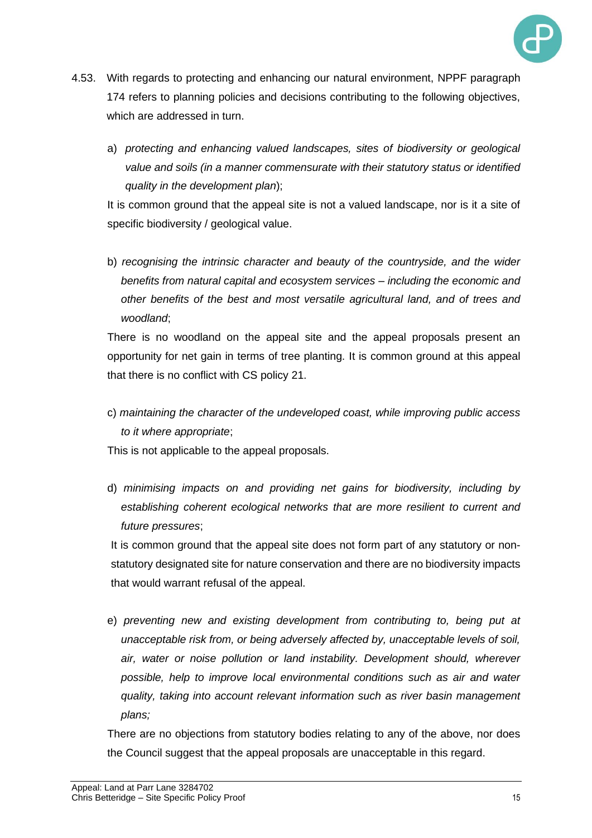

- 4.53. With regards to protecting and enhancing our natural environment, NPPF paragraph 174 refers to planning policies and decisions contributing to the following objectives, which are addressed in turn.
	- a) *protecting and enhancing valued landscapes, sites of biodiversity or geological value and soils (in a manner commensurate with their statutory status or identified quality in the development plan*);

It is common ground that the appeal site is not a valued landscape, nor is it a site of specific biodiversity / geological value.

b) *recognising the intrinsic character and beauty of the countryside, and the wider benefits from natural capital and ecosystem services – including the economic and other benefits of the best and most versatile agricultural land, and of trees and woodland*;

There is no woodland on the appeal site and the appeal proposals present an opportunity for net gain in terms of tree planting. It is common ground at this appeal that there is no conflict with CS policy 21.

c) *maintaining the character of the undeveloped coast, while improving public access to it where appropriate*;

This is not applicable to the appeal proposals.

d) *minimising impacts on and providing net gains for biodiversity, including by establishing coherent ecological networks that are more resilient to current and future pressures*;

It is common ground that the appeal site does not form part of any statutory or nonstatutory designated site for nature conservation and there are no biodiversity impacts that would warrant refusal of the appeal.

e) *preventing new and existing development from contributing to, being put at unacceptable risk from, or being adversely affected by, unacceptable levels of soil, air, water or noise pollution or land instability. Development should, wherever possible, help to improve local environmental conditions such as air and water quality, taking into account relevant information such as river basin management plans;* 

There are no objections from statutory bodies relating to any of the above, nor does the Council suggest that the appeal proposals are unacceptable in this regard.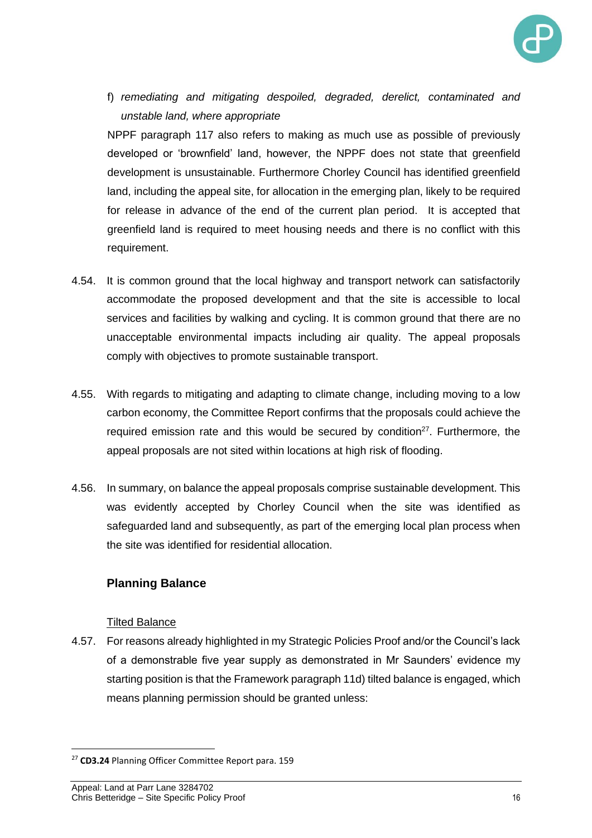

f) *remediating and mitigating despoiled, degraded, derelict, contaminated and unstable land, where appropriate*

NPPF paragraph 117 also refers to making as much use as possible of previously developed or 'brownfield' land, however, the NPPF does not state that greenfield development is unsustainable. Furthermore Chorley Council has identified greenfield land, including the appeal site, for allocation in the emerging plan, likely to be required for release in advance of the end of the current plan period. It is accepted that greenfield land is required to meet housing needs and there is no conflict with this requirement.

- 4.54. It is common ground that the local highway and transport network can satisfactorily accommodate the proposed development and that the site is accessible to local services and facilities by walking and cycling. It is common ground that there are no unacceptable environmental impacts including air quality. The appeal proposals comply with objectives to promote sustainable transport.
- 4.55. With regards to mitigating and adapting to climate change, including moving to a low carbon economy, the Committee Report confirms that the proposals could achieve the required emission rate and this would be secured by condition<sup>27</sup>. Furthermore, the appeal proposals are not sited within locations at high risk of flooding.
- 4.56. In summary, on balance the appeal proposals comprise sustainable development. This was evidently accepted by Chorley Council when the site was identified as safeguarded land and subsequently, as part of the emerging local plan process when the site was identified for residential allocation.

# **Planning Balance**

#### Tilted Balance

4.57. For reasons already highlighted in my Strategic Policies Proof and/or the Council's lack of a demonstrable five year supply as demonstrated in Mr Saunders' evidence my starting position is that the Framework paragraph 11d) tilted balance is engaged, which means planning permission should be granted unless:

<sup>27</sup> **CD3.24** Planning Officer Committee Report para. 159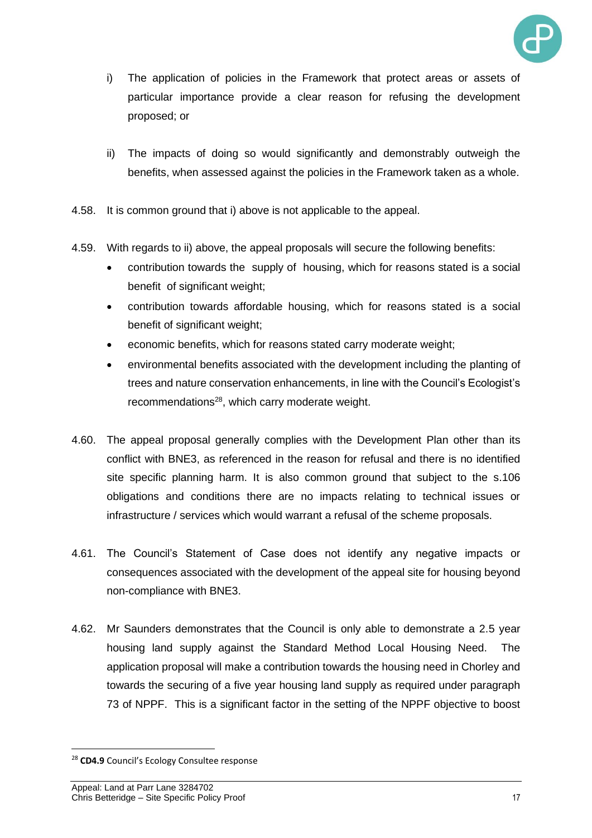

- i) The application of policies in the Framework that protect areas or assets of particular importance provide a clear reason for refusing the development proposed; or
- ii) The impacts of doing so would significantly and demonstrably outweigh the benefits, when assessed against the policies in the Framework taken as a whole.
- 4.58. It is common ground that i) above is not applicable to the appeal.
- 4.59. With regards to ii) above, the appeal proposals will secure the following benefits:
	- contribution towards the supply of housing, which for reasons stated is a social benefit of significant weight;
	- contribution towards affordable housing, which for reasons stated is a social benefit of significant weight;
	- economic benefits, which for reasons stated carry moderate weight;
	- environmental benefits associated with the development including the planting of trees and nature conservation enhancements, in line with the Council's Ecologist's recommendations<sup>28</sup>, which carry moderate weight.
- 4.60. The appeal proposal generally complies with the Development Plan other than its conflict with BNE3, as referenced in the reason for refusal and there is no identified site specific planning harm. It is also common ground that subject to the s.106 obligations and conditions there are no impacts relating to technical issues or infrastructure / services which would warrant a refusal of the scheme proposals.
- 4.61. The Council's Statement of Case does not identify any negative impacts or consequences associated with the development of the appeal site for housing beyond non-compliance with BNE3.
- 4.62. Mr Saunders demonstrates that the Council is only able to demonstrate a 2.5 year housing land supply against the Standard Method Local Housing Need. The application proposal will make a contribution towards the housing need in Chorley and towards the securing of a five year housing land supply as required under paragraph 73 of NPPF. This is a significant factor in the setting of the NPPF objective to boost

<sup>28</sup> **CD4.9** Council's Ecology Consultee response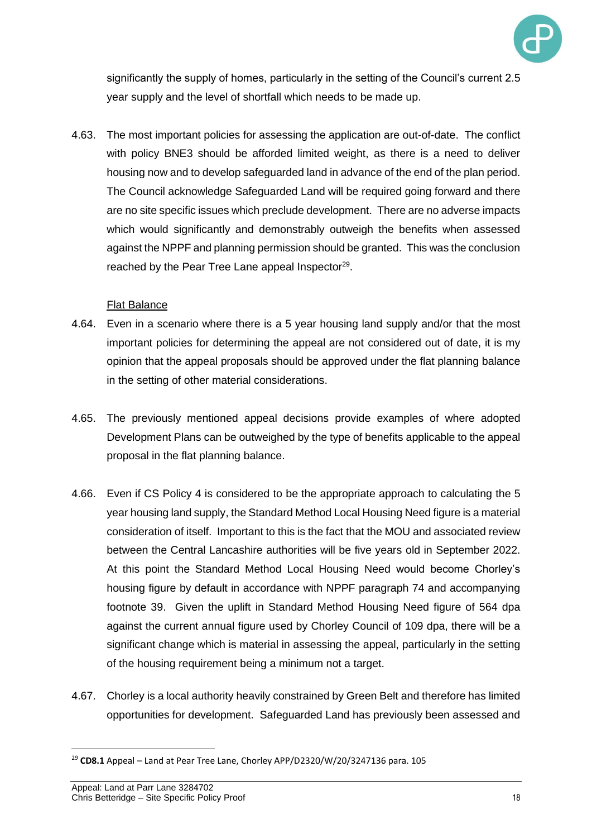

significantly the supply of homes, particularly in the setting of the Council's current 2.5 year supply and the level of shortfall which needs to be made up.

4.63. The most important policies for assessing the application are out-of-date. The conflict with policy BNE3 should be afforded limited weight, as there is a need to deliver housing now and to develop safeguarded land in advance of the end of the plan period. The Council acknowledge Safeguarded Land will be required going forward and there are no site specific issues which preclude development. There are no adverse impacts which would significantly and demonstrably outweigh the benefits when assessed against the NPPF and planning permission should be granted. This was the conclusion reached by the Pear Tree Lane appeal Inspector $29$ .

#### Flat Balance

- 4.64. Even in a scenario where there is a 5 year housing land supply and/or that the most important policies for determining the appeal are not considered out of date, it is my opinion that the appeal proposals should be approved under the flat planning balance in the setting of other material considerations.
- 4.65. The previously mentioned appeal decisions provide examples of where adopted Development Plans can be outweighed by the type of benefits applicable to the appeal proposal in the flat planning balance.
- 4.66. Even if CS Policy 4 is considered to be the appropriate approach to calculating the 5 year housing land supply, the Standard Method Local Housing Need figure is a material consideration of itself. Important to this is the fact that the MOU and associated review between the Central Lancashire authorities will be five years old in September 2022. At this point the Standard Method Local Housing Need would become Chorley's housing figure by default in accordance with NPPF paragraph 74 and accompanying footnote 39. Given the uplift in Standard Method Housing Need figure of 564 dpa against the current annual figure used by Chorley Council of 109 dpa, there will be a significant change which is material in assessing the appeal, particularly in the setting of the housing requirement being a minimum not a target.
- 4.67. Chorley is a local authority heavily constrained by Green Belt and therefore has limited opportunities for development. Safeguarded Land has previously been assessed and

<sup>29</sup> **CD8.1** Appeal – Land at Pear Tree Lane, Chorley APP/D2320/W/20/3247136 para. 105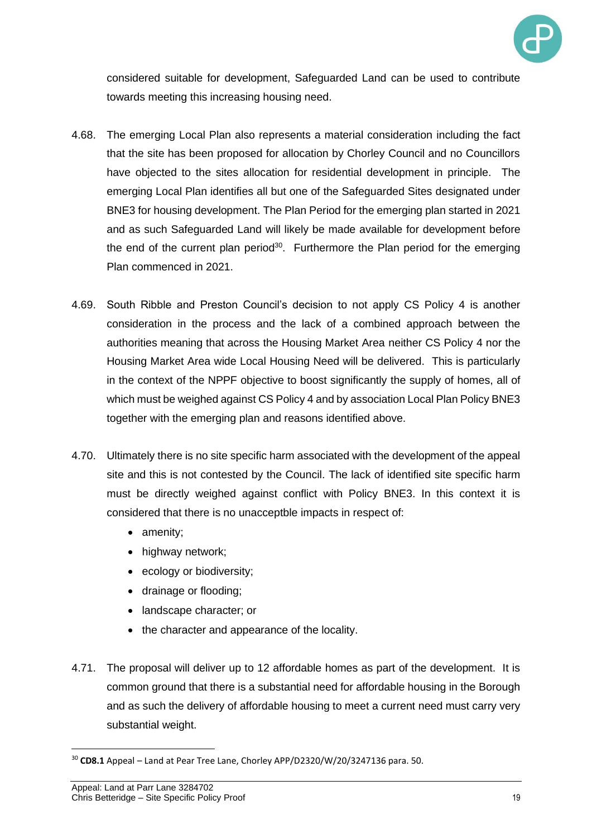

considered suitable for development, Safeguarded Land can be used to contribute towards meeting this increasing housing need.

- 4.68. The emerging Local Plan also represents a material consideration including the fact that the site has been proposed for allocation by Chorley Council and no Councillors have objected to the sites allocation for residential development in principle. The emerging Local Plan identifies all but one of the Safeguarded Sites designated under BNE3 for housing development. The Plan Period for the emerging plan started in 2021 and as such Safeguarded Land will likely be made available for development before the end of the current plan period<sup>30</sup>. Furthermore the Plan period for the emerging Plan commenced in 2021.
- 4.69. South Ribble and Preston Council's decision to not apply CS Policy 4 is another consideration in the process and the lack of a combined approach between the authorities meaning that across the Housing Market Area neither CS Policy 4 nor the Housing Market Area wide Local Housing Need will be delivered. This is particularly in the context of the NPPF objective to boost significantly the supply of homes, all of which must be weighed against CS Policy 4 and by association Local Plan Policy BNE3 together with the emerging plan and reasons identified above.
- 4.70. Ultimately there is no site specific harm associated with the development of the appeal site and this is not contested by the Council. The lack of identified site specific harm must be directly weighed against conflict with Policy BNE3. In this context it is considered that there is no unacceptble impacts in respect of:
	- amenity:
	- highway network;
	- ecology or biodiversity;
	- drainage or flooding;
	- landscape character; or
	- the character and appearance of the locality.
- 4.71. The proposal will deliver up to 12 affordable homes as part of the development. It is common ground that there is a substantial need for affordable housing in the Borough and as such the delivery of affordable housing to meet a current need must carry very substantial weight.

<sup>30</sup> **CD8.1** Appeal – Land at Pear Tree Lane, Chorley APP/D2320/W/20/3247136 para. 50.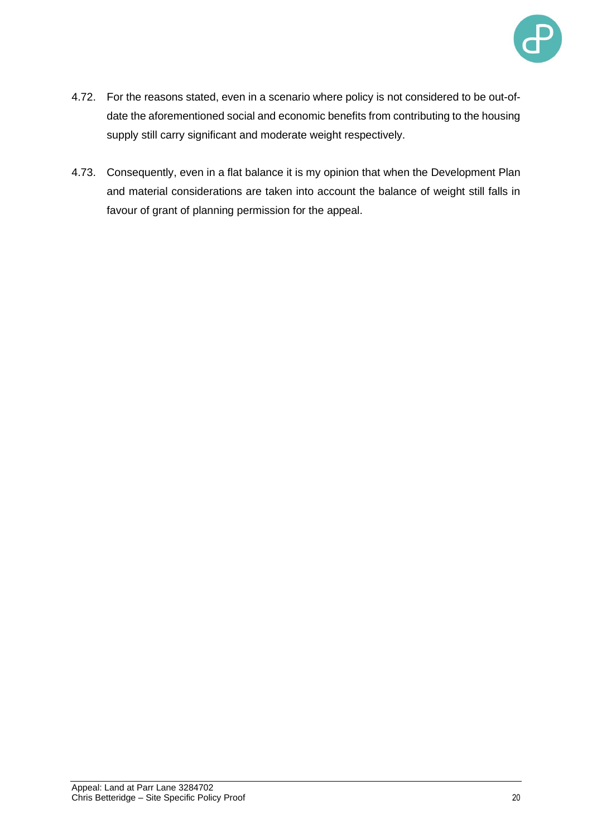

- 4.72. For the reasons stated, even in a scenario where policy is not considered to be out-ofdate the aforementioned social and economic benefits from contributing to the housing supply still carry significant and moderate weight respectively.
- 4.73. Consequently, even in a flat balance it is my opinion that when the Development Plan and material considerations are taken into account the balance of weight still falls in favour of grant of planning permission for the appeal.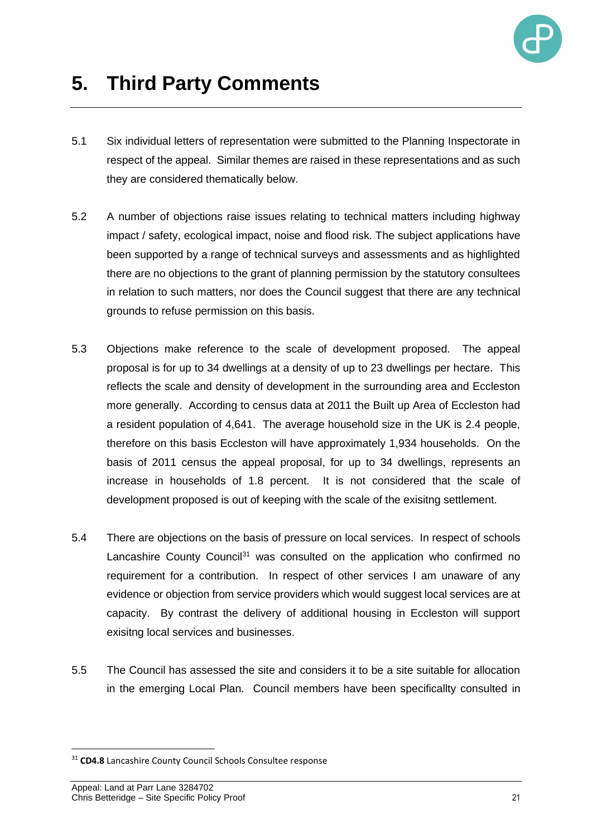

- 5.1 Six individual letters of representation were submitted to the Planning Inspectorate in respect of the appeal. Similar themes are raised in these representations and as such they are considered thematically below.
- 5.2 A number of objections raise issues relating to technical matters including highway impact / safety, ecological impact, noise and flood risk. The subject applications have been supported by a range of technical surveys and assessments and as highlighted there are no objections to the grant of planning permission by the statutory consultees in relation to such matters, nor does the Council suggest that there are any technical grounds to refuse permission on this basis.
- 5.3 Objections make reference to the scale of development proposed. The appeal proposal is for up to 34 dwellings at a density of up to 23 dwellings per hectare. This reflects the scale and density of development in the surrounding area and Eccleston more generally. According to census data at 2011 the Built up Area of Eccleston had a resident population of 4,641. The average household size in the UK is 2.4 people, therefore on this basis Eccleston will have approximately 1,934 households. On the basis of 2011 census the appeal proposal, for up to 34 dwellings, represents an increase in households of 1.8 percent. It is not considered that the scale of development proposed is out of keeping with the scale of the exisitng settlement.
- 5.4 There are objections on the basis of pressure on local services. In respect of schools Lancashire County Council<sup>31</sup> was consulted on the application who confirmed no requirement for a contribution. In respect of other services I am unaware of any evidence or objection from service providers which would suggest local services are at capacity. By contrast the delivery of additional housing in Eccleston will support exisitng local services and businesses.
- 5.5 The Council has assessed the site and considers it to be a site suitable for allocation in the emerging Local Plan. Council members have been specificallty consulted in

<sup>31</sup> **CD4.8** Lancashire County Council Schools Consultee response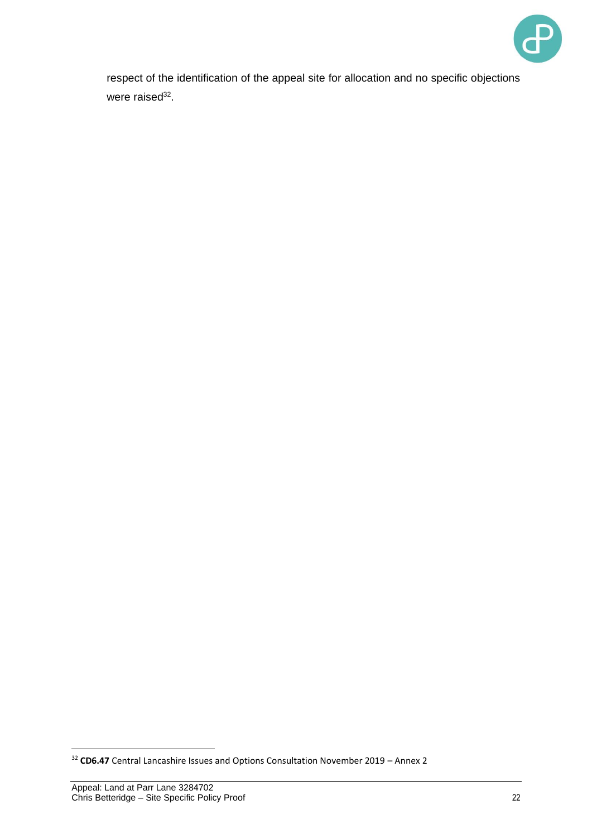

respect of the identification of the appeal site for allocation and no specific objections were raised<sup>32</sup>.

<sup>32</sup> **CD6.47** Central Lancashire Issues and Options Consultation November 2019 – Annex 2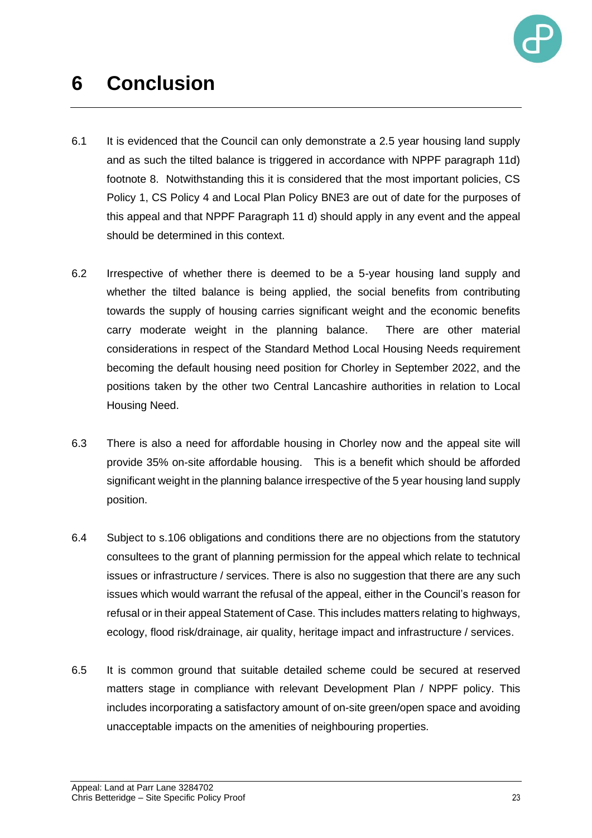

# **6 Conclusion**

- 6.1 It is evidenced that the Council can only demonstrate a 2.5 year housing land supply and as such the tilted balance is triggered in accordance with NPPF paragraph 11d) footnote 8. Notwithstanding this it is considered that the most important policies, CS Policy 1, CS Policy 4 and Local Plan Policy BNE3 are out of date for the purposes of this appeal and that NPPF Paragraph 11 d) should apply in any event and the appeal should be determined in this context.
- 6.2 Irrespective of whether there is deemed to be a 5-year housing land supply and whether the tilted balance is being applied, the social benefits from contributing towards the supply of housing carries significant weight and the economic benefits carry moderate weight in the planning balance. There are other material considerations in respect of the Standard Method Local Housing Needs requirement becoming the default housing need position for Chorley in September 2022, and the positions taken by the other two Central Lancashire authorities in relation to Local Housing Need.
- 6.3 There is also a need for affordable housing in Chorley now and the appeal site will provide 35% on-site affordable housing. This is a benefit which should be afforded significant weight in the planning balance irrespective of the 5 year housing land supply position.
- 6.4 Subject to s.106 obligations and conditions there are no objections from the statutory consultees to the grant of planning permission for the appeal which relate to technical issues or infrastructure / services. There is also no suggestion that there are any such issues which would warrant the refusal of the appeal, either in the Council's reason for refusal or in their appeal Statement of Case. This includes matters relating to highways, ecology, flood risk/drainage, air quality, heritage impact and infrastructure / services.
- 6.5 It is common ground that suitable detailed scheme could be secured at reserved matters stage in compliance with relevant Development Plan / NPPF policy. This includes incorporating a satisfactory amount of on-site green/open space and avoiding unacceptable impacts on the amenities of neighbouring properties.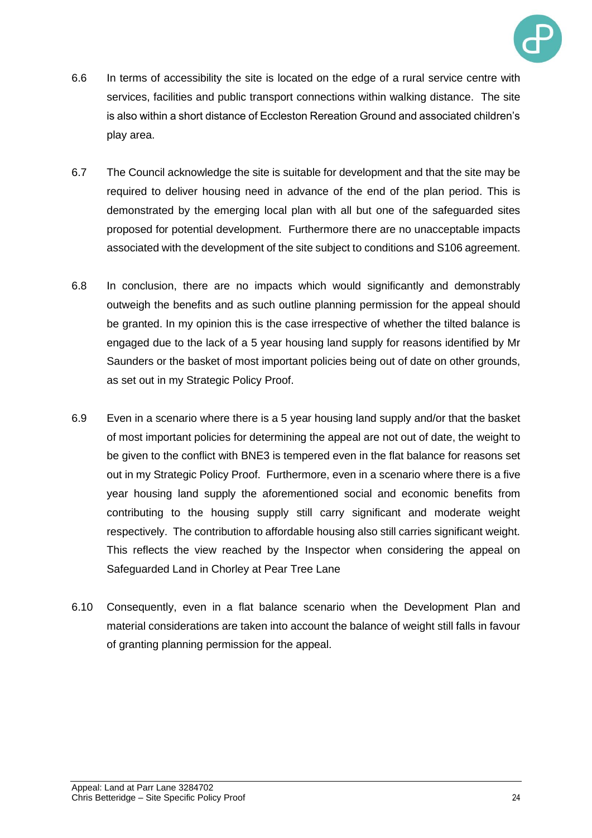

- 6.6 In terms of accessibility the site is located on the edge of a rural service centre with services, facilities and public transport connections within walking distance. The site is also within a short distance of Eccleston Rereation Ground and associated children's play area.
- 6.7 The Council acknowledge the site is suitable for development and that the site may be required to deliver housing need in advance of the end of the plan period. This is demonstrated by the emerging local plan with all but one of the safeguarded sites proposed for potential development. Furthermore there are no unacceptable impacts associated with the development of the site subject to conditions and S106 agreement.
- 6.8 In conclusion, there are no impacts which would significantly and demonstrably outweigh the benefits and as such outline planning permission for the appeal should be granted. In my opinion this is the case irrespective of whether the tilted balance is engaged due to the lack of a 5 year housing land supply for reasons identified by Mr Saunders or the basket of most important policies being out of date on other grounds, as set out in my Strategic Policy Proof.
- 6.9 Even in a scenario where there is a 5 year housing land supply and/or that the basket of most important policies for determining the appeal are not out of date, the weight to be given to the conflict with BNE3 is tempered even in the flat balance for reasons set out in my Strategic Policy Proof. Furthermore, even in a scenario where there is a five year housing land supply the aforementioned social and economic benefits from contributing to the housing supply still carry significant and moderate weight respectively. The contribution to affordable housing also still carries significant weight. This reflects the view reached by the Inspector when considering the appeal on Safeguarded Land in Chorley at Pear Tree Lane
- 6.10 Consequently, even in a flat balance scenario when the Development Plan and material considerations are taken into account the balance of weight still falls in favour of granting planning permission for the appeal.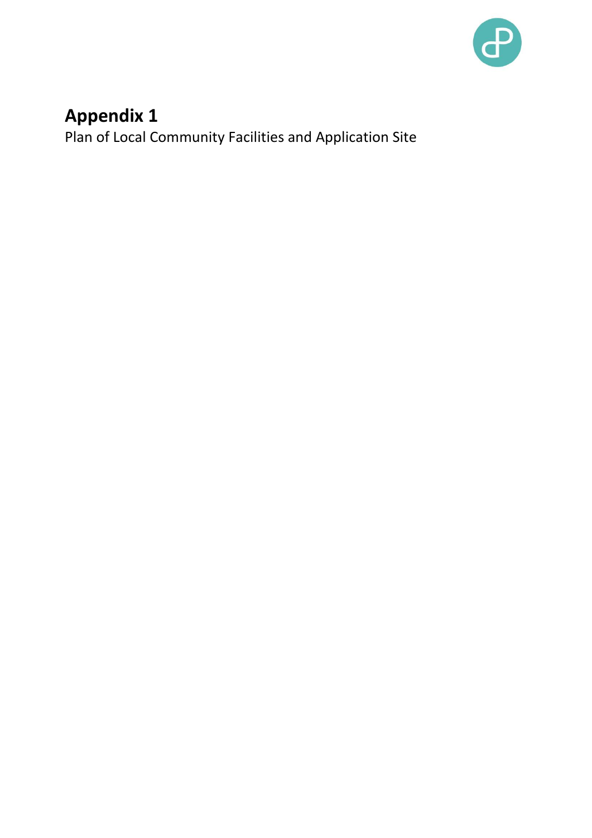

# **Appendix 1**

Plan of Local Community Facilities and Application Site